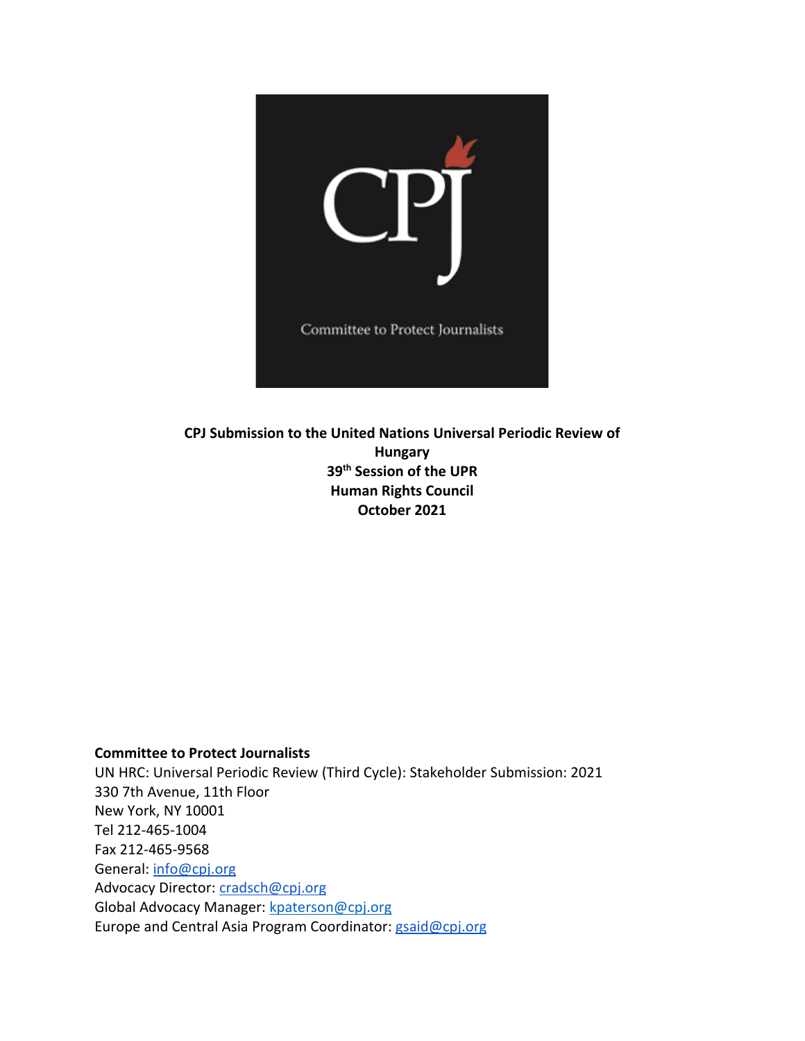

**CPJ Submission to the United Nations Universal Periodic Review of Hungary 39th Session of the UPR Human Rights Council October 2021**

## **Committee to Protect Journalists**

UN HRC: Universal Periodic Review (Third Cycle): Stakeholder Submission: 2021 330 7th Avenue, 11th Floor New York, NY 10001 Tel 212-465-1004 Fax 212-465-9568 General: [info@cpj.org](mailto:info@cpj.org) Advocacy Director: [cradsch@cpj.org](mailto:cradsch@cpj.org) Global Advocacy Manager: [kpaterson@cpj.org](mailto:kpaterson@cpj.org) Europe and Central Asia Program Coordinator: [gsaid@cpj.org](mailto:gsaid@cpj.org)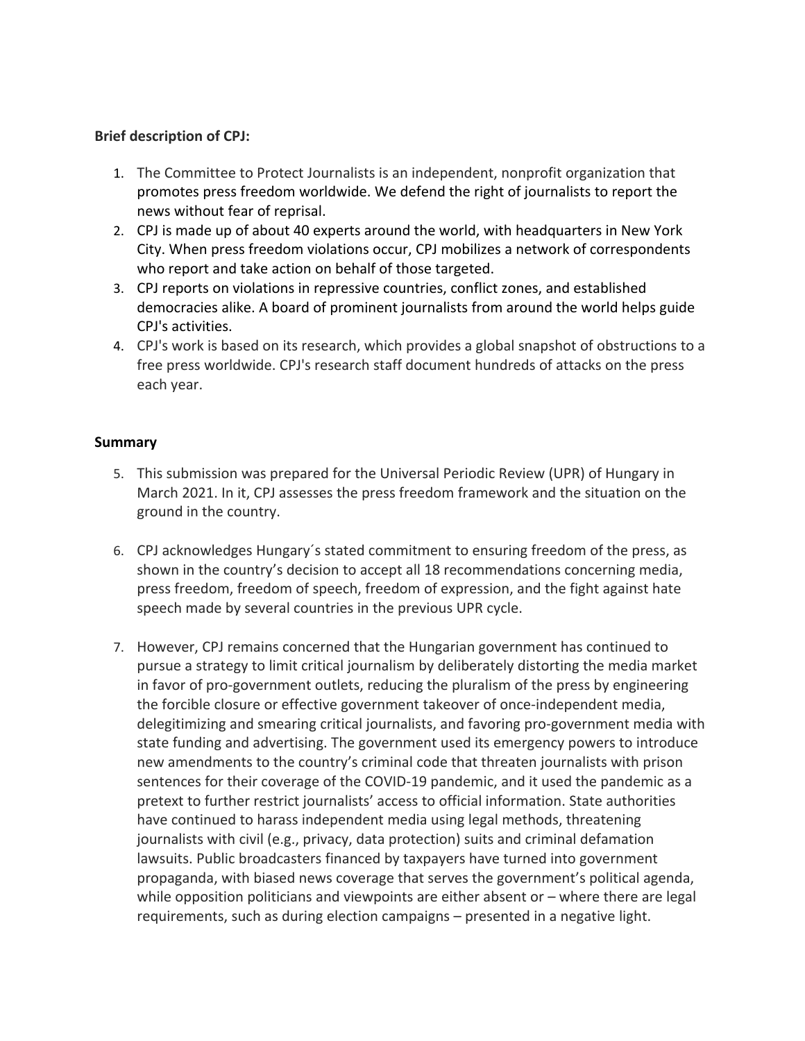## **Brief description of CPJ:**

- 1. The Committee to Protect Journalists is an independent, nonprofit organization that promotes press freedom worldwide. We defend the right of journalists to report the news without fear of reprisal.
- 2. CPJ is made up of about 40 experts around the world, with headquarters in New York City. When press freedom violations occur, CPJ mobilizes <sup>a</sup> network of correspondents who report and take action on behalf of those targeted.
- 3. CPJ reports on violations in repressive countries, conflict zones, and established democracies alike. A board of prominent journalists from around the world helps guide CPJ's activities.
- 4. CPJ's work is based on its research, which provides <sup>a</sup> global snapshot of obstructions to <sup>a</sup> free press worldwide. CPJ's research staff document hundreds of attacks on the press each year.

## **Summary**

- 5. This submission was prepared for the Universal Periodic Review (UPR) of Hungary in March 2021. In it, CPJ assesses the press freedom framework and the situation on the ground in the country.
- 6. CPJ acknowledges Hungary´s stated commitment to ensuring freedom of the press, as shown in the country'<sup>s</sup> decision to accept all 18 recommendations concerning media, press freedom, freedom of speech, freedom of expression, and the fight against hate speech made by several countries in the previous UPR cycle.
- 7. However, CPJ remains concerned that the Hungarian government has continued to pursue <sup>a</sup> strategy to limit critical journalism by deliberately distorting the media market in favor of pro-government outlets, reducing the pluralism of the press by engineering the forcible closure or effective government takeover of once-independent media, delegitimizing and smearing critical journalists, and favoring pro-government media with state funding and advertising. The government used its emergency powers to introduce new amendments to the country'<sup>s</sup> criminal code that threaten journalists with prison sentences for their coverage of the COVID-19 pandemic, and it used the pandemic as <sup>a</sup> pretext to further restrict journalists' access to official information. State authorities have continued to harass independent media using legal methods, threatening journalists with civil (e.g., privacy, data protection) suits and criminal defamation lawsuits. Public broadcasters financed by taxpayers have turned into government propaganda, with biased news coverage that serves the government'<sup>s</sup> political agenda, while opposition politicians and viewpoints are either absent or – where there are legal requirements, such as during election campaigns – presented in <sup>a</sup> negative light.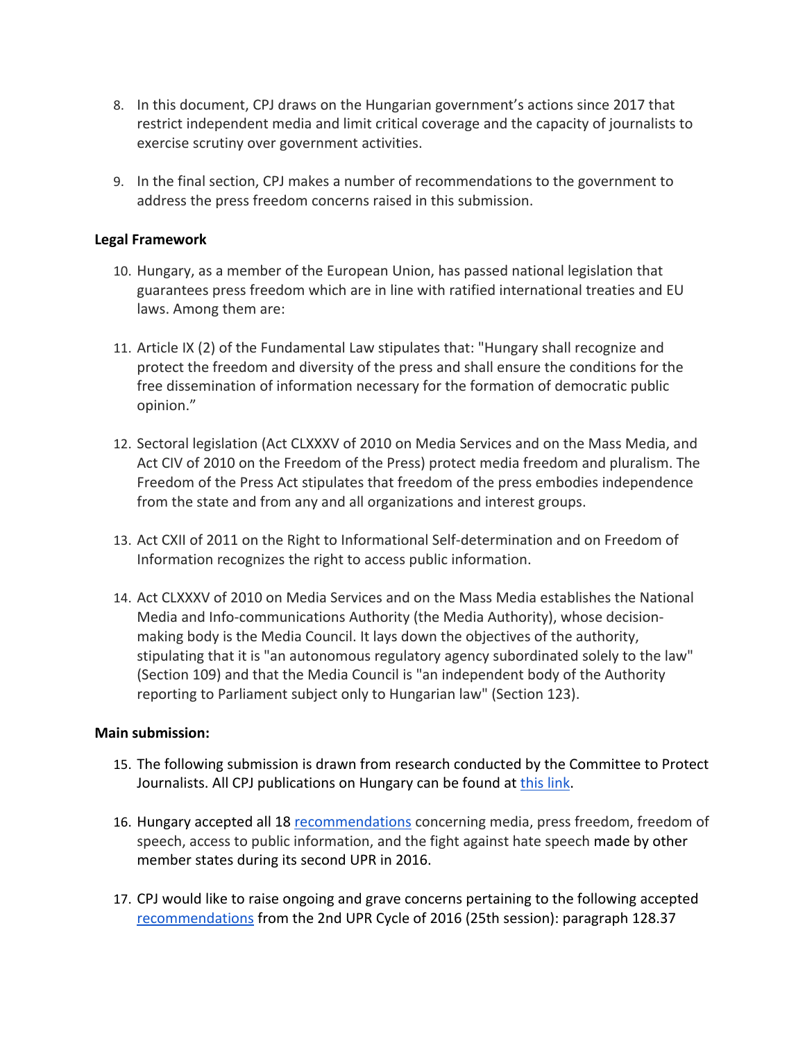- 8. In this document, CPJ draws on the Hungarian government'<sup>s</sup> actions since 2017 that restrict independent media and limit critical coverage and the capacity of journalists to exercise scrutiny over government activities.
- 9. In the final section, CPJ makes <sup>a</sup> number of recommendations to the government to address the press freedom concerns raised in this submission.

# **Legal Framework**

- 10. Hungary, as <sup>a</sup> member of the European Union, has passed national legislation that guarantees press freedom which are in line with ratified international treaties and EU laws. Among them are:
- 11. Article IX (2) of the Fundamental Law stipulates that: "Hungary shall recognize and protect the freedom and diversity of the press and shall ensure the conditions for the free dissemination of information necessary for the formation of democratic public opinion."
- 12. Sectoral legislation (Act CLXXXV of 2010 on Media Services and on the Mass Media, and Act CIV of 2010 on the Freedom of the Press) protect media freedom and pluralism. The Freedom of the Press Act stipulates that freedom of the press embodies independence from the state and from any and all organizations and interest groups.
- 13. Act CXII of 2011 on the Right to Informational Self-determination and on Freedom of Information recognizes the right to access public information.
- 14. Act CLXXXV of 2010 on Media Services and on the Mass Media establishes the National Media and Info-communications Authority (the Media Authority), whose decisionmaking body is the Media Council. It lays down the objectives of the authority, stipulating that it is "an autonomous regulatory agency subordinated solely to the law" (Section 109) and that the Media Council is "an independent body of the Authority reporting to Parliament subject only to Hungarian law" (Section 123).

## **Main submission:**

- 15. The following submission is drawn from research conducted by the Committee to Protect Journalists. All CPJ publications on Hungary can be found at [this](https://cpj.org/europe/hungary/) link.
- 16. Hungary accepted all 18 [recommendations](https://www.upr-info.org/sites/default/files/document/hongrie/session_25_-_avril_2016/recommendations_and_pledges_hungary_2016.pdf) concerning media, press freedom, freedom of speech, access to public information, and the fight against hate speech made by other member states during its second UPR in 2016.
- 17. CPJ would like to raise ongoing and grave concerns pertaining to the following accepted [recommendations](https://www.upr-info.org/sites/default/files/document/hongrie/session_25_-_avril_2016/recommendations_and_pledges_hungary_2016.pdf) from the 2nd UPR Cycle of 2016 (25th session): paragraph 128.37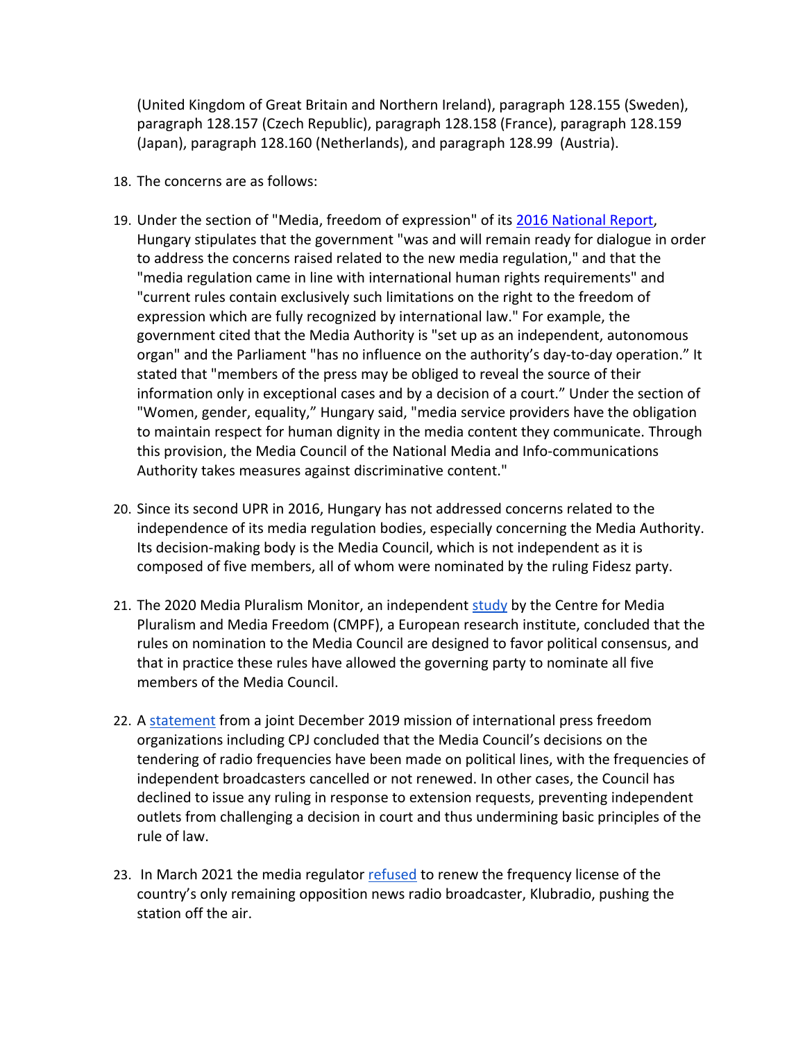(United Kingdom of Great Britain and Northern Ireland), paragraph 128.155 (Sweden), paragraph 128.157 (Czech Republic), paragraph 128.158 (France), paragraph 128.159 (Japan), paragraph 128.160 (Netherlands), and paragraph 128.99 (Austria).

- 18. The concerns are as follows:
- 19. Under the section of "Media, freedom of expression" of its 2016 [National](https://www.ohchr.org/EN/HRBodies/UPR/Pages/HUIndex.aspx) Report, Hungary stipulates that the government "was and will remain ready for dialogue in order to address the concerns raised related to the new media regulation," and that the "media regulation came in line with international human rights requirements" and "current rules contain exclusively such limitations on the right to the freedom of expression which are fully recognized by international law." For example, the government cited that the Media Authority is "set up as an independent, autonomous organ" and the Parliament "has no influence on the authority'<sup>s</sup> day-to-day operation." It stated that "members of the press may be obliged to reveal the source of their information only in exceptional cases and by <sup>a</sup> decision of <sup>a</sup> court." Under the section of "Women, gender, equality," Hungary said, "media service providers have the obligation to maintain respect for human dignity in the media content they communicate. Through this provision, the Media Council of the National Media and Info-communications Authority takes measures against discriminative content."
- 20. Since its second UPR in 2016, Hungary has not addressed concerns related to the independence of its media regulation bodies, especially concerning the Media Authority. Its decision-making body is the Media Council, which is not independent as it is composed of five members, all of whom were nominated by the ruling Fidesz party.
- 21. The 2020 Media Pluralism Monitor, an independent [study](https://cmpf.eui.eu/media-pluralism-monitor/mpm-2020/) by the Centre for Media Pluralism and Media Freedom (CMPF), <sup>a</sup> European research institute, concluded that the rules on nomination to the Media Council are designed to favor political consensus, and that in practice these rules have allowed the governing party to nominate all five members of the Media Council.
- 22. A [statement](https://cpj.org/2019/12/hungarys-media-control-unprecedented-in-eu-joint-m/) from a joint December 2019 mission of international press freedom organizations including CPJ concluded that the Media Council'<sup>s</sup> decisions on the tendering of radio frequencies have been made on political lines, with the frequencies of independent broadcasters cancelled or not renewed. In other cases, the Council has declined to issue any ruling in response to extension requests, preventing independent outlets from challenging <sup>a</sup> decision in court and thus undermining basic principles of the rule of law.
- 23. In March 2021 the media regulator [refused](https://www.bloomberg.com/news/articles/2021-03-11/hungary-again-rejects-sole-opposition-radio-s-bid-for-frequency) to renew the frequency license of the country'<sup>s</sup> only remaining opposition news radio broadcaster, Klubradio, pushing the station off the air.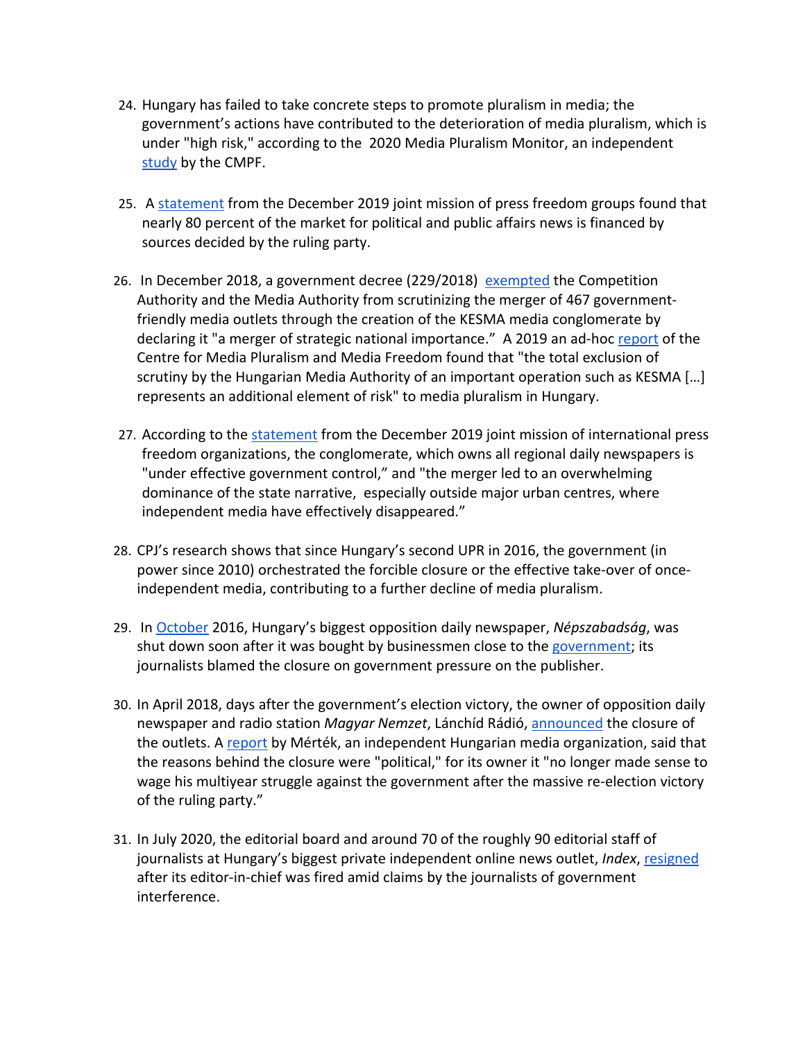- 24. Hungary has failed to take concrete steps to promote pluralism in media; the government'<sup>s</sup> actions have contributed to the deterioration of media pluralism, which is under "high risk," according to the 2020 Media Pluralism Monitor, an independent [study](https://cmpf.eui.eu/media-pluralism-monitor/mpm-2020/) by the CMPF.
- 25. A [statement](https://cpj.org/2019/12/hungarys-media-control-unprecedented-in-eu-joint-m/) from the December 2019 joint mission of press freedom groups found that nearly 80 percent of the market for political and public affairs news is financed by sources decided by the ruling party.
- 26. In December 2018, a government decree (229/2018) [exempted](https://index.hu/english/2020/06/26/hungary_constitutional_court_pro-government_media_conglomerate_kesma_orban_fidesz/) the Competition Authority and the Media Authority from scrutinizing the merger of 467 governmentfriendly media outlets through the creation of the KESMA media conglomerate by declaring it "a merger of strategic national importance." A 2019 an ad-hoc [report](https://op.europa.eu/en/publication-detail/-/publication/79196553-5c39-11ea-8b81-01aa75ed71a1) of the Centre for Media Pluralism and Media Freedom found that "the total exclusion of scrutiny by the Hungarian Media Authority of an important operation such as KESMA […] represents an additional element of risk" to media pluralism in Hungary.
- 27. According to the [statement](https://ipi.media/wp-content/uploads/2020/02/Hungary-Conclusions-International-Mission-Final.pdf) from the December 2019 joint mission of international press freedom organizations, the conglomerate, which owns all regional daily newspapers is "under effective government control," and "the merger led to an overwhelming dominance of the state narrative, especially outside major urban centres, where independent media have effectively disappeared."
- 28. CPJ'<sup>s</sup> research shows that since Hungary'<sup>s</sup> second UPR in 2016, the government (in power since 2010) orchestrated the forcible closure or the effective take-over of onceindependent media, contributing to <sup>a</sup> further decline of media pluralism.
- 29. In [October](https://www.dw.com/en/eu-worried-at-hungary-opposition-daily-closure/a-36010028) 2016, Hungary'<sup>s</sup> biggest opposition daily newspaper, *Népszabadság*, was shut down soon after it was bought by businessmen close to the [government](https://www.ft.com/content/8f78f132-3cc6-11e8-b9f9-de94fa33a81e); its journalists blamed the closure on government pressure on the publisher.
- 30. In April 2018, days after the government'<sup>s</sup> election victory, the owner of opposition daily newspaper and radio station *Magyar Nemzet*, Lánchíd Rádió, [announced](https://www.ft.com/content/8f78f132-3cc6-11e8-b9f9-de94fa33a81e) the closure of the outlets. A [report](https://mertek.eu/wp-content/uploads/2020/01/MertekFuzetek18.pdf) by Mérték, an independent Hungarian media organization, said that the reasons behind the closure were "political," for its owner it "no longer made sense to wage his multiyear struggle against the government after the massive re-election victory of the ruling party."
- 31. In July 2020, the editorial board and around 70 of the roughly 90 editorial staff of journalists at Hungary'<sup>s</sup> biggest private independent online news outlet, *Index*, [resigned](https://www.theguardian.com/world/2020/jul/24/hungarian-journalists-resign-en-masse-after-claims-of-political-interference) after its editor-in-chief was fired amid claims by the journalists of government interference.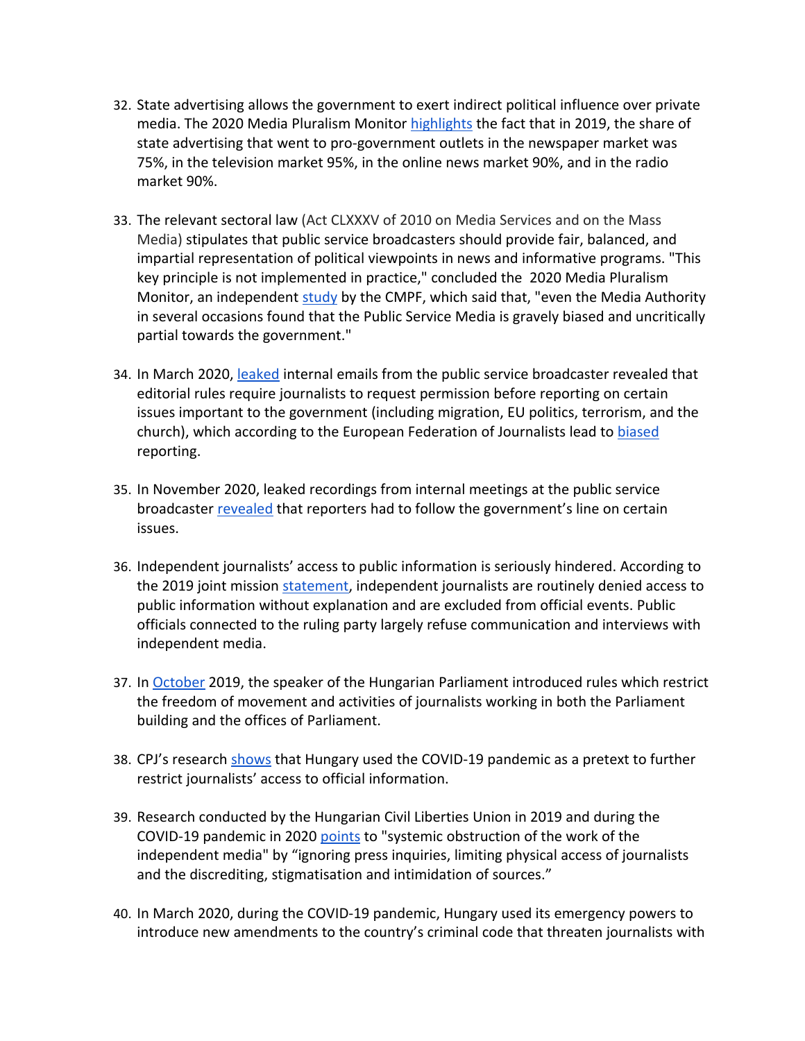- 32. State advertising allows the government to exert indirect political influence over private media. The 2020 Media Pluralism Monitor [highlights](https://cmpf.eui.eu/mpm2020-results/) the fact that in 2019, the share of state advertising that went to pro-government outlets in the newspaper market was 75%, in the television market 95%, in the online news market 90%, and in the radio market 90%.
- 33. The relevant sectoral law (Act CLXXXV of 2010 on Media Services and on the Mass Media) stipulates that public service broadcasters should provide fair, balanced, and impartial representation of political viewpoints in news and informative programs. "This key principle is not implemented in practice," concluded the 2020 Media Pluralism Monitor, an independent [study](https://cmpf.eui.eu/media-pluralism-monitor/mpm-2020/) by the CMPF, which said that, "even the Media Authority in several occasions found that the Public Service Media is gravely biased and uncritically partial towards the government."
- 34. In March 2020, [leaked](https://www.coe.int/en/web/media-freedom/detail-alert?p_p_id=sojdashboard_WAR_coesojportlet&p_p_lifecycle=0&p_p_col_id=column-3&p_p_col_pos=1&p_p_col_count=11&_sojdashboard_WAR_coesojportlet_alertPK=60594716&_sojdashboard_WAR_coesojportlet_displayLink=SojPortlet.getDashboardPortletId%28%29) internal emails from the public service broadcaster revealed that editorial rules require journalists to request permission before reporting on certain issues important to the government (including migration, EU politics, terrorism, and the church), which according to the European Federation of Journalists lead to [biased](https://europeanjournalists.org/blog/2020/03/05/hungary-state-media-journalists-received-instructions-for-reports-on-migration-eu-politics-and-greta-thunberg/) reporting.
- 35. In November 2020, leaked recordings from internal meetings at the public service broadcaster [revealed](https://www.france24.com/en/live-news/20201112-hungary-public-media-forced-to-toe-govt-line-leaked-recordings) that reporters had to follow the government's line on certain issues.
- 36. Independent journalists' access to public information is seriously hindered. According to the 2019 joint mission [statement](https://cpj.org/2019/12/hungarys-media-control-unprecedented-in-eu-joint-m/), independent journalists are routinely denied access to public information without explanation and are excluded from official events. Public officials connected to the ruling party largely refuse communication and interviews with independent media.
- 37. In [October](https://www.coe.int/en/web/media-freedom/detail-alert?p_p_id=sojdashboard_WAR_coesojportlet&p_p_lifecycle=2&p_p_cacheability=cacheLevelPage&p_p_col_id=column-1&p_p_col_pos=1&p_p_col_count=2&_sojdashboard_WAR_coesojportlet_alertPK=53799912&_sojdashboard_WAR_coesojportlet_cmd=get_pdf_one) 2019, the speaker of the Hungarian Parliament introduced rules which restrict the freedom of movement and activities of journalists working in both the Parliament building and the offices of Parliament.
- 38. CPJ's research [shows](https://cpj.org/2020/04/hungarian-journalist-csaba-lukacs-on-covering-covi/) that Hungary used the COVID-19 pandemic as a pretext to further restrict journalists' access to official information.
- 39. Research conducted by the Hungarian Civil Liberties Union in 2019 and during the COVID-19 pandemic in 2020 [points](https://tasz.hu/a/files/coronavirus_press_research.pdf) to "systemic obstruction of the work of the independent media" by "ignoring press inquiries, limiting physical access of journalists and the discrediting, stigmatisation and intimidation of sources."
- 40. In March 2020, during the COVID-19 pandemic, Hungary used its emergency powers to introduce new amendments to the country'<sup>s</sup> criminal code that threaten journalists with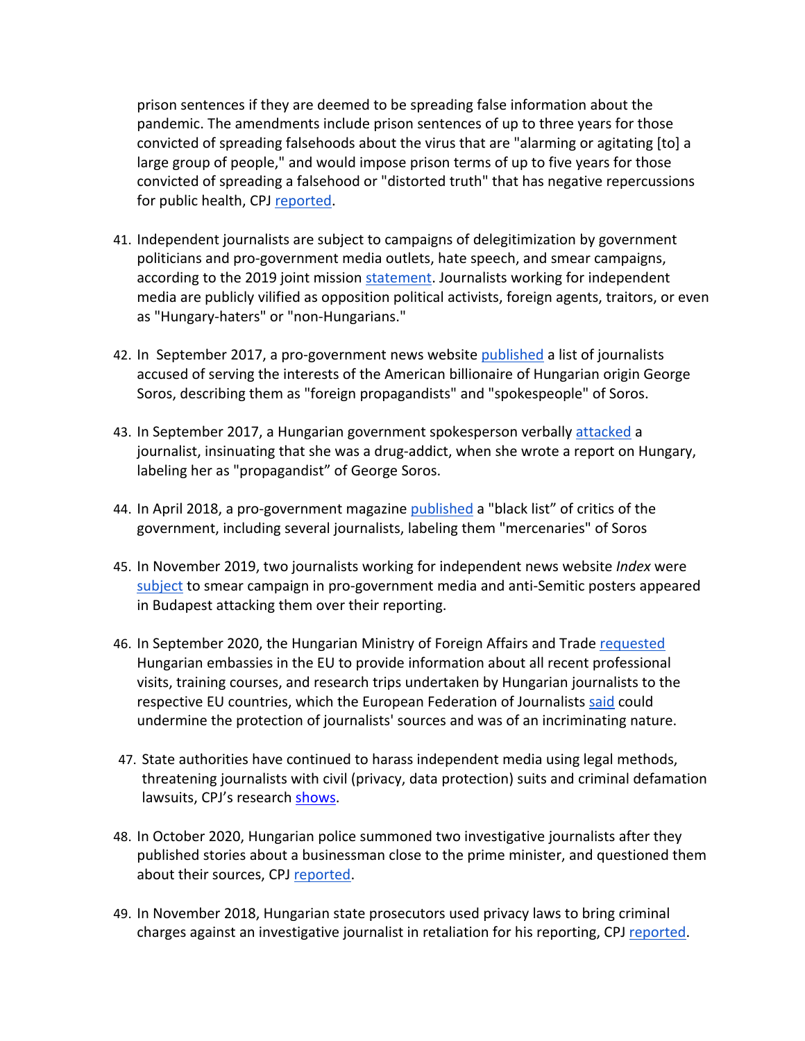prison sentences if they are deemed to be spreading false information about the pandemic. The amendments include prison sentences of up to three years for those convicted of spreading falsehoods about the virus that are "alarming or agitating [to] <sup>a</sup> large group of people," and would impose prison terms of up to five years for those convicted of spreading <sup>a</sup> falsehood or "distorted truth" that has negative repercussions for public health, CPJ [reported](https://cpj.org/2020/03/proposed-hungarian-laws-could-imprison-journalists/).

- 41. Independent journalists are subject to campaigns of delegitimization by government politicians and pro-government media outlets, hate speech, and smear campaigns, according to the 2019 joint mission [statement](https://cpj.org/2019/12/hungarys-media-control-unprecedented-in-eu-joint-m/). Journalists working for independent media are publicly vilified as opposition political activists, foreign agents, traitors, or even as "Hungary-haters" or "non-Hungarians."
- 42. In September 2017, <sup>a</sup> pro-government news website [published](https://www.coe.int/en/web/media-freedom/detail-alert?p_p_id=sojdashboard_WAR_coesojportlet&p_p_lifecycle=0&p_p_col_id=column-3&p_p_col_pos=1&p_p_col_count=11&_sojdashboard_WAR_coesojportlet_alertPK=44235517&_sojdashboard_WAR_coesojportlet_displayLink=SojPortlet.getDashboardPortletId%28%29) <sup>a</sup> list of journalists accused of serving the interests of the American billionaire of Hungarian origin George Soros, describing them as "foreign propagandists" and "spokespeople" of Soros.
- 43. In September 2017, a Hungarian government spokesperson verbally [attacked](https://www.coe.int/en/web/media-freedom/all-alerts?p_p_id=sojdashboard_WAR_coesojportlet&p_p_lifecycle=0&p_p_col_id=column-4&p_p_col_count=1&_sojdashboard_WAR_coesojportlet_keywords=&_sojdashboard_WAR_coesojportlet_selectedStringFilters=year.2019,year.2017,year.2018,year.2020,year.2021&_sojdashboard_WAR_coesojportlet_selectedCategories=11709524) a journalist, insinuating that she was <sup>a</sup> drug-addict, when she wrote <sup>a</sup> report on Hungary, labeling her as "propagandist" of George Soros.
- 44. In April 2018, a pro-government magazine [published](https://www.dw.com/en/hungarys-viktor-orban-targets-critics-with-soros-mercenaries-blacklist/a-43381963) a "black list" of critics of the government, including several journalists, labeling them "mercenaries" of Soros
- 45. In November 2019, two journalists working for independent news website *Index* were [subject](https://www.coe.int/en/web/media-freedom/detail-alert?p_p_id=sojdashboard_WAR_coesojportlet&p_p_lifecycle=0&p_p_col_id=column-3&p_p_col_count=10&_sojdashboard_WAR_coesojportlet_alertPK=55358460) to smear campaign in pro-government media and anti-Semitic posters appeared in Budapest attacking them over their reporting.
- 46. In September 2020, the Hungarian Ministry of Foreign Affairs and Trade [requested](https://www.coe.int/en/web/media-freedom/detail-alert?p_p_id=sojdashboard_WAR_coesojportlet&p_p_lifecycle=0&p_p_col_id=column-3&p_p_col_pos=1&p_p_col_count=11&_sojdashboard_WAR_coesojportlet_alertPK=71947434&_sojdashboard_WAR_coesojportlet_displayLink=SojPortlet.getDashboardPortletId%28%29) Hungarian embassies in the EU to provide information about all recent professional visits, training courses, and research trips undertaken by Hungarian journalists to the respective EU countries, which the European Federation of Journalists [said](https://europeanjournalists.org/blog/2020/09/21/hungarian-foreign-ministry-lists-journalists-trips-abroad/) could undermine the protection of journalists' sources and was of an incriminating nature.
- 47. State authorities have continued to harass independent media using legal methods, threatening journalists with civil (privacy, data protection) suits and criminal defamation lawsuits, CPJ's research [shows](https://cpj.org/europe/hungary/).
- 48. In October 2020, Hungarian police summoned two investigative journalists after they published stories about <sup>a</sup> businessman close to the prime minister, and questioned them about their sources, CPJ [reported](https://cpj.org/2020/10/hungarian-police-question-journalists-for-illicit-data-collection-after-use-of-drone-footage/).
- 49. In November 2018, Hungarian state prosecutors used privacy laws to bring criminal charges against an investigative journalist in retaliation for his reporting, CPJ [reported](https://cpj.org/2018/11/hungarian-authorities-bring-criminal-charges-again/).